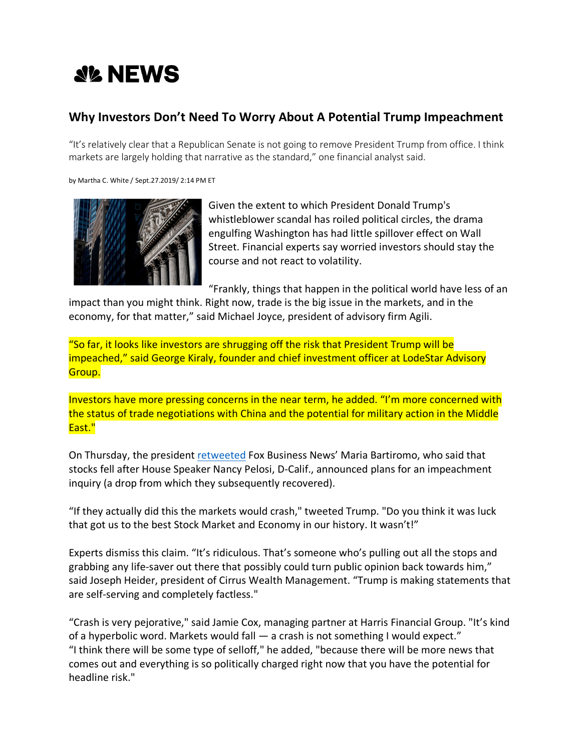## **SIZ NEWS**

## **Why Investors Don't Need To Worry About A Potential Trump Impeachment**

"It's relatively clear that a Republican Senate is not going to remove President Trump from office. I think markets are largely holding that narrative as the standard," one financial analyst said.

by Martha C. White / Sept.27.2019/ 2:14 PM ET



Given the extent to which President Donald Trump's whistleblower scandal has roiled political circles, the drama engulfing Washington has had little spillover effect on Wall Street. Financial experts say worried investors should stay the course and not react to volatility.

"Frankly, things that happen in the political world have less of an

impact than you might think. Right now, trade is the big issue in the markets, and in the economy, for that matter," said Michael Joyce, president of advisory firm Agili.

"So far, it looks like investors are shrugging off the risk that President Trump will be impeached," said George Kiraly, founder and chief investment officer at LodeStar Advisory Group.

Investors have more pressing concerns in the near term, he added. "I'm more concerned with the status of trade negotiations with China and the potential for military action in the Middle East."

On Thursday, the president retweeted Fox Business News' Maria Bartiromo, who said that stocks fell after House Speaker Nancy Pelosi, D-Calif., announced plans for an impeachment inquiry (a drop from which they subsequently recovered).

"If they actually did this the markets would crash," tweeted Trump. "Do you think it was luck that got us to the best Stock Market and Economy in our history. It wasn't!"

Experts dismiss this claim. "It's ridiculous. That's someone who's pulling out all the stops and grabbing any life-saver out there that possibly could turn public opinion back towards him," said Joseph Heider, president of Cirrus Wealth Management. "Trump is making statements that are self-serving and completely factless."

"Crash is very pejorative," said Jamie Cox, managing partner at Harris Financial Group. "It's kind of a hyperbolic word. Markets would fall — a crash is not something I would expect." "I think there will be some type of selloff," he added, "because there will be more news that comes out and everything is so politically charged right now that you have the potential for headline risk."